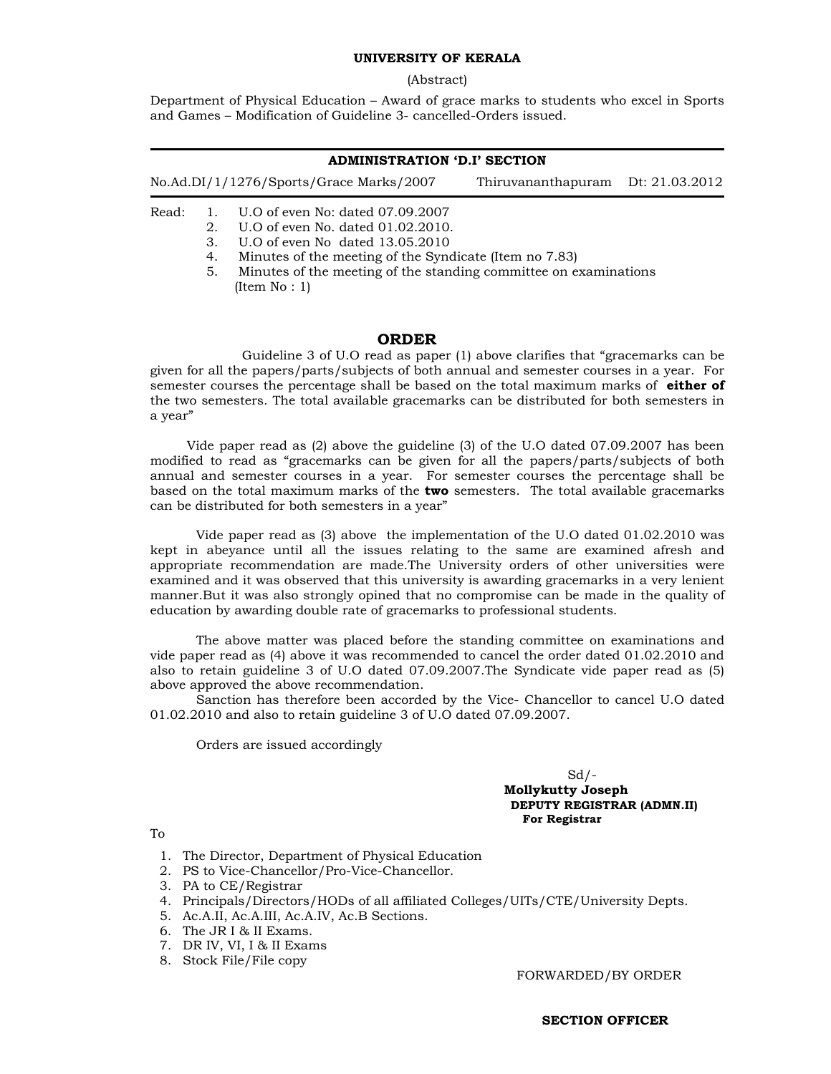# **UNIVERSITY OF KERALA**

(Abstract)

Department of Physical Education – Award of grace marks to students who excel in Sports and Games – Modification of Guideline 3- cancelled-Orders issued.

### **ADMINISTRATION 'D.I' SECTION**

| No.Ad.DI/1/1276/Sports/Grace Marks/2007 |         |                                                        | Thiruvananthapuram Dt: 21.03.2012 |  |
|-----------------------------------------|---------|--------------------------------------------------------|-----------------------------------|--|
|                                         |         | Read: 1. U.O of even No: dated 07.09.2007              |                                   |  |
|                                         | $2^{1}$ | U.O of even No. dated 01.02.2010.                      |                                   |  |
|                                         | 3.      | U.O of even No dated 13.05.2010                        |                                   |  |
|                                         | 4.      | Minutes of the meeting of the Syndicate (Item no 7.83) |                                   |  |

5. Minutes of the meeting of the standing committee on examinations (Item No : 1)

# **ORDER**

 Guideline 3 of U.O read as paper (1) above clarifies that "gracemarks can be given for all the papers/parts/subjects of both annual and semester courses in a year. For semester courses the percentage shall be based on the total maximum marks of **either of** the two semesters. The total available gracemarks can be distributed for both semesters in a year"

 Vide paper read as (2) above the guideline (3) of the U.O dated 07.09.2007 has been modified to read as "gracemarks can be given for all the papers/parts/subjects of both annual and semester courses in a year. For semester courses the percentage shall be based on the total maximum marks of the **two** semesters. The total available gracemarks can be distributed for both semesters in a year"

 Vide paper read as (3) above the implementation of the U.O dated 01.02.2010 was kept in abeyance until all the issues relating to the same are examined afresh and appropriate recommendation are made.The University orders of other universities were examined and it was observed that this university is awarding gracemarks in a very lenient manner.But it was also strongly opined that no compromise can be made in the quality of education by awarding double rate of gracemarks to professional students.

 The above matter was placed before the standing committee on examinations and vide paper read as (4) above it was recommended to cancel the order dated 01.02.2010 and also to retain guideline 3 of U.O dated 07.09.2007.The Syndicate vide paper read as (5) above approved the above recommendation.

 Sanction has therefore been accorded by the Vice- Chancellor to cancel U.O dated 01.02.2010 and also to retain guideline 3 of U.O dated 07.09.2007.

Orders are issued accordingly

### $Sd$  /- **Mollykutty Joseph DEPUTY REGISTRAR (ADMN.II)**  **For Registrar**

To

1. The Director, Department of Physical Education

- 2. PS to Vice-Chancellor/Pro-Vice-Chancellor.
- 3. PA to CE/Registrar
- 4. Principals/Directors/HODs of all affiliated Colleges/UITs/CTE/University Depts.
- 5. Ac.A.II, Ac.A.III, Ac.A.IV, Ac.B Sections.
- 6. The JR I & II Exams.
- 7. DR IV, VI, I & II Exams
- 8. Stock File/File copy

FORWARDED/BY ORDER

**SECTION OFFICER**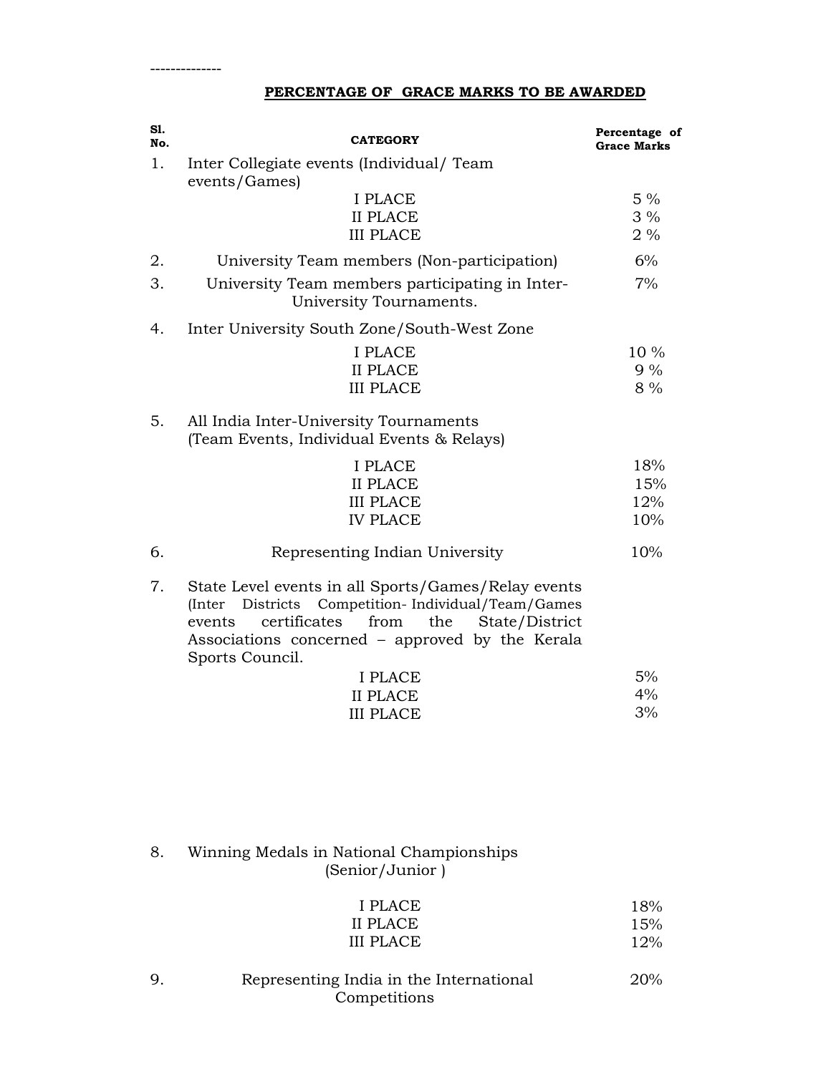# **PERCENTAGE OF GRACE MARKS TO BE AWARDED**

| S1.<br>No. | <b>CATEGORY</b>                                                                                                                                                                                                                            | Percentage of<br><b>Grace Marks</b> |
|------------|--------------------------------------------------------------------------------------------------------------------------------------------------------------------------------------------------------------------------------------------|-------------------------------------|
| 1.         | Inter Collegiate events (Individual/Team<br>events/Games)                                                                                                                                                                                  |                                     |
|            | <b>I PLACE</b><br><b>II PLACE</b><br><b>III PLACE</b>                                                                                                                                                                                      | $5\%$<br>$3\%$<br>$2\%$             |
| 2.         | University Team members (Non-participation)                                                                                                                                                                                                | 6%                                  |
| 3.         | University Team members participating in Inter-<br>University Tournaments.                                                                                                                                                                 | 7%                                  |
| 4.         | Inter University South Zone/South-West Zone                                                                                                                                                                                                |                                     |
|            | <b>I PLACE</b><br><b>II PLACE</b><br><b>III PLACE</b>                                                                                                                                                                                      | 10 %<br>9%<br>8 %                   |
| 5.         | All India Inter-University Tournaments<br>(Team Events, Individual Events & Relays)                                                                                                                                                        |                                     |
|            | I PLACE<br><b>II PLACE</b><br><b>III PLACE</b><br><b>IV PLACE</b>                                                                                                                                                                          | 18%<br>15%<br>12%<br>10%            |
| 6.         | Representing Indian University                                                                                                                                                                                                             | 10%                                 |
| 7.         | State Level events in all Sports/Games/Relay events<br>(Inter Districts Competition-Individual/Team/Games<br>certificates<br>from<br>the<br>State/District<br>events<br>Associations concerned – approved by the Kerala<br>Sports Council. |                                     |
|            | I PLACE                                                                                                                                                                                                                                    | 5%                                  |
|            | <b>II PLACE</b><br><b>III PLACE</b>                                                                                                                                                                                                        | 4%<br>3%                            |
|            |                                                                                                                                                                                                                                            |                                     |
| 8.         | Winning Medals in National Championships                                                                                                                                                                                                   |                                     |

(Senior/Junior )

| I PLACE          | 18% |
|------------------|-----|
| II PLACE         | 15% |
| <b>III PLACE</b> | 12% |

9. Representing India in the International Competitions 20%